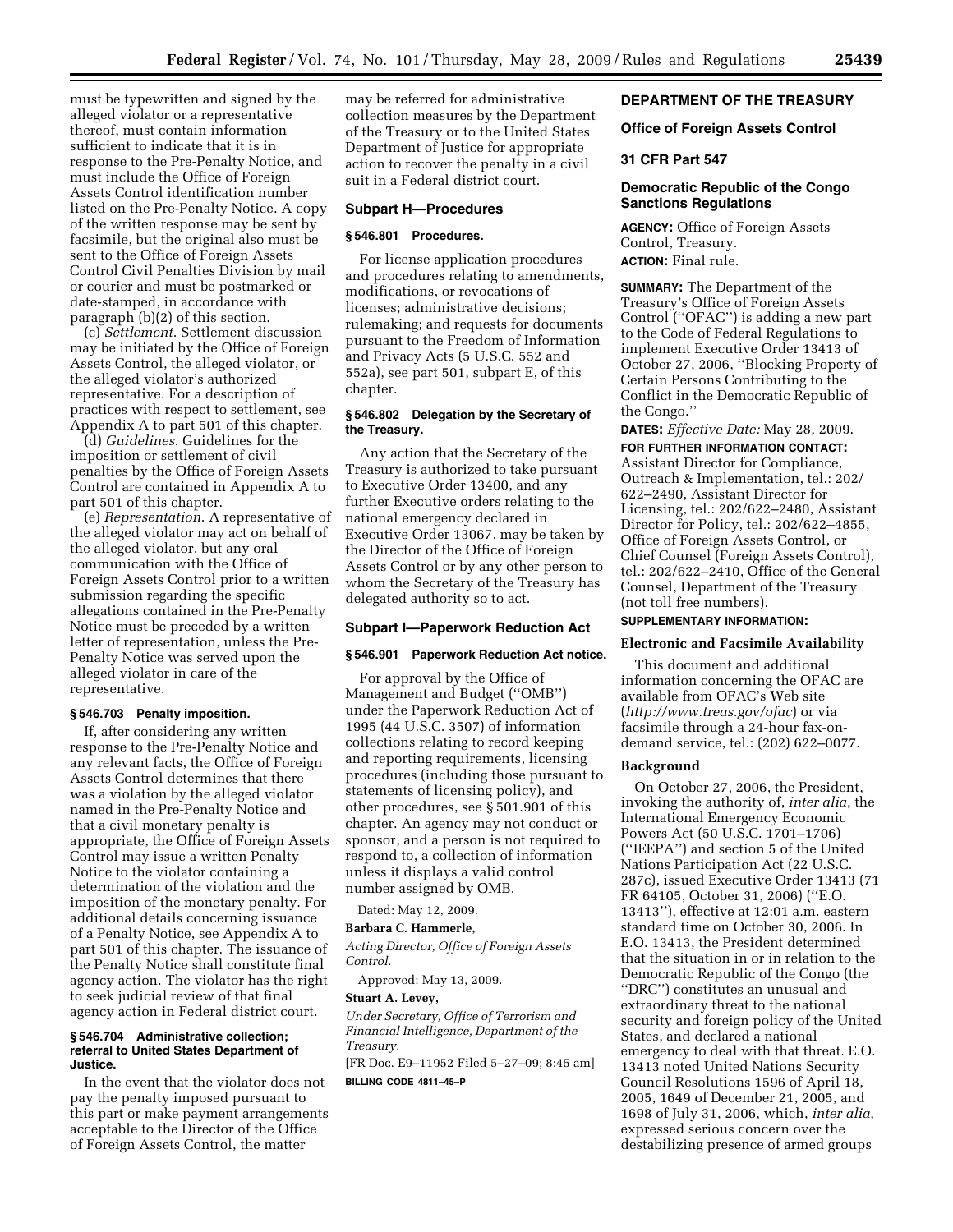must be typewritten and signed by the alleged violator or a representative thereof, must contain information sufficient to indicate that it is in response to the Pre-Penalty Notice, and must include the Office of Foreign Assets Control identification number listed on the Pre-Penalty Notice. A copy of the written response may be sent by facsimile, but the original also must be sent to the Office of Foreign Assets Control Civil Penalties Division by mail or courier and must be postmarked or date-stamped, in accordance with paragraph (b)(2) of this section.

(c) *Settlement*. Settlement discussion may be initiated by the Office of Foreign Assets Control, the alleged violator, or the alleged violator's authorized representative. For a description of practices with respect to settlement, see Appendix A to part 501 of this chapter.

(d) *Guidelines*. Guidelines for the imposition or settlement of civil penalties by the Office of Foreign Assets Control are contained in Appendix A to part 501 of this chapter.

(e) *Representation*. A representative of the alleged violator may act on behalf of the alleged violator, but any oral communication with the Office of Foreign Assets Control prior to a written submission regarding the specific allegations contained in the Pre-Penalty Notice must be preceded by a written letter of representation, unless the Pre-Penalty Notice was served upon the alleged violator in care of the representative.

## **§ 546.703 Penalty imposition.**

If, after considering any written response to the Pre-Penalty Notice and any relevant facts, the Office of Foreign Assets Control determines that there was a violation by the alleged violator named in the Pre-Penalty Notice and that a civil monetary penalty is appropriate, the Office of Foreign Assets Control may issue a written Penalty Notice to the violator containing a determination of the violation and the imposition of the monetary penalty. For additional details concerning issuance of a Penalty Notice, see Appendix A to part 501 of this chapter. The issuance of the Penalty Notice shall constitute final agency action. The violator has the right to seek judicial review of that final agency action in Federal district court.

#### **§ 546.704 Administrative collection; referral to United States Department of Justice.**

In the event that the violator does not pay the penalty imposed pursuant to this part or make payment arrangements acceptable to the Director of the Office of Foreign Assets Control, the matter

may be referred for administrative collection measures by the Department of the Treasury or to the United States Department of Justice for appropriate action to recover the penalty in a civil suit in a Federal district court.

#### **Subpart H—Procedures**

#### **§ 546.801 Procedures.**

For license application procedures and procedures relating to amendments, modifications, or revocations of licenses; administrative decisions; rulemaking; and requests for documents pursuant to the Freedom of Information and Privacy Acts (5 U.S.C. 552 and 552a), see part 501, subpart E, of this chapter.

#### **§ 546.802 Delegation by the Secretary of the Treasury.**

Any action that the Secretary of the Treasury is authorized to take pursuant to Executive Order 13400, and any further Executive orders relating to the national emergency declared in Executive Order 13067, may be taken by the Director of the Office of Foreign Assets Control or by any other person to whom the Secretary of the Treasury has delegated authority so to act.

#### **Subpart I—Paperwork Reduction Act**

#### **§ 546.901 Paperwork Reduction Act notice.**

For approval by the Office of Management and Budget (''OMB'') under the Paperwork Reduction Act of 1995 (44 U.S.C. 3507) of information collections relating to record keeping and reporting requirements, licensing procedures (including those pursuant to statements of licensing policy), and other procedures, see § 501.901 of this chapter. An agency may not conduct or sponsor, and a person is not required to respond to, a collection of information unless it displays a valid control number assigned by OMB.

Dated: May 12, 2009.

#### **Barbara C. Hammerle,**

*Acting Director, Office of Foreign Assets Control.* 

Approved: May 13, 2009.

## **Stuart A. Levey,**

*Under Secretary, Office of Terrorism and Financial Intelligence, Department of the Treasury.* 

[FR Doc. E9–11952 Filed 5–27–09; 8:45 am] **BILLING CODE 4811–45–P** 

**DEPARTMENT OF THE TREASURY** 

#### **Office of Foreign Assets Control**

## **31 CFR Part 547**

# **Democratic Republic of the Congo Sanctions Regulations**

**AGENCY:** Office of Foreign Assets Control, Treasury. **ACTION:** Final rule.

**SUMMARY:** The Department of the Treasury's Office of Foreign Assets Control (''OFAC'') is adding a new part to the Code of Federal Regulations to implement Executive Order 13413 of October 27, 2006, ''Blocking Property of Certain Persons Contributing to the Conflict in the Democratic Republic of the Congo.''

**DATES:** *Effective Date:* May 28, 2009. **FOR FURTHER INFORMATION CONTACT:**  Assistant Director for Compliance, Outreach & Implementation, tel.: 202/ 622–2490, Assistant Director for Licensing, tel.: 202/622–2480, Assistant Director for Policy, tel.: 202/622–4855, Office of Foreign Assets Control, or Chief Counsel (Foreign Assets Control), tel.: 202/622–2410, Office of the General Counsel, Department of the Treasury (not toll free numbers).

## **SUPPLEMENTARY INFORMATION:**

#### **Electronic and Facsimile Availability**

This document and additional information concerning the OFAC are available from OFAC's Web site (*http://www.treas.gov/ofac*) or via facsimile through a 24-hour fax-ondemand service, tel.: (202) 622–0077.

## **Background**

On October 27, 2006, the President, invoking the authority of, *inter alia*, the International Emergency Economic Powers Act (50 U.S.C. 1701–1706) (''IEEPA'') and section 5 of the United Nations Participation Act (22 U.S.C. 287c), issued Executive Order 13413 (71 FR 64105, October 31, 2006) (''E.O. 13413''), effective at 12:01 a.m. eastern standard time on October 30, 2006. In E.O. 13413, the President determined that the situation in or in relation to the Democratic Republic of the Congo (the ''DRC'') constitutes an unusual and extraordinary threat to the national security and foreign policy of the United States, and declared a national emergency to deal with that threat. E.O. 13413 noted United Nations Security Council Resolutions 1596 of April 18, 2005, 1649 of December 21, 2005, and 1698 of July 31, 2006, which, *inter alia*, expressed serious concern over the destabilizing presence of armed groups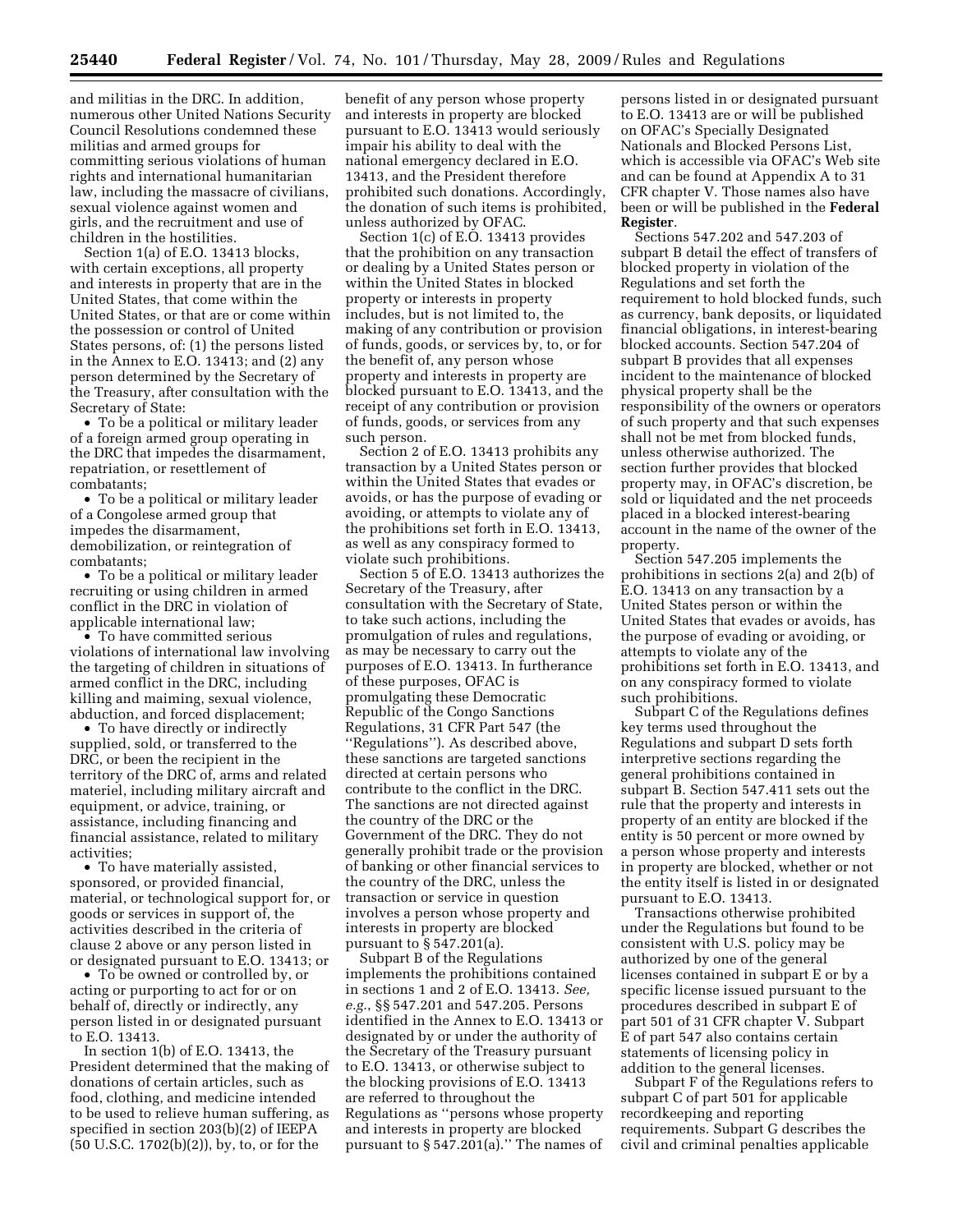and militias in the DRC. In addition, numerous other United Nations Security Council Resolutions condemned these militias and armed groups for committing serious violations of human rights and international humanitarian law, including the massacre of civilians, sexual violence against women and girls, and the recruitment and use of children in the hostilities.

Section 1(a) of E.O. 13413 blocks, with certain exceptions, all property and interests in property that are in the United States, that come within the United States, or that are or come within the possession or control of United States persons, of: (1) the persons listed in the Annex to E.O. 13413; and (2) any person determined by the Secretary of the Treasury, after consultation with the Secretary of State:

• To be a political or military leader of a foreign armed group operating in the DRC that impedes the disarmament, repatriation, or resettlement of combatants;

• To be a political or military leader of a Congolese armed group that impedes the disarmament, demobilization, or reintegration of combatants;

• To be a political or military leader recruiting or using children in armed conflict in the DRC in violation of applicable international law;

• To have committed serious violations of international law involving the targeting of children in situations of armed conflict in the DRC, including killing and maiming, sexual violence, abduction, and forced displacement;

• To have directly or indirectly supplied, sold, or transferred to the DRC, or been the recipient in the territory of the DRC of, arms and related materiel, including military aircraft and equipment, or advice, training, or assistance, including financing and financial assistance, related to military activities;

• To have materially assisted, sponsored, or provided financial, material, or technological support for, or goods or services in support of, the activities described in the criteria of clause 2 above or any person listed in or designated pursuant to E.O. 13413; or

• To be owned or controlled by, or acting or purporting to act for or on behalf of, directly or indirectly, any person listed in or designated pursuant to E.O. 13413.

In section 1(b) of E.O. 13413, the President determined that the making of donations of certain articles, such as food, clothing, and medicine intended to be used to relieve human suffering, as specified in section 203(b)(2) of IEEPA (50 U.S.C. 1702(b)(2)), by, to, or for the

benefit of any person whose property and interests in property are blocked pursuant to E.O. 13413 would seriously impair his ability to deal with the national emergency declared in E.O. 13413, and the President therefore prohibited such donations. Accordingly, the donation of such items is prohibited, unless authorized by OFAC.

Section 1(c) of E.O. 13413 provides that the prohibition on any transaction or dealing by a United States person or within the United States in blocked property or interests in property includes, but is not limited to, the making of any contribution or provision of funds, goods, or services by, to, or for the benefit of, any person whose property and interests in property are blocked pursuant to E.O. 13413, and the receipt of any contribution or provision of funds, goods, or services from any such person.

Section 2 of E.O. 13413 prohibits any transaction by a United States person or within the United States that evades or avoids, or has the purpose of evading or avoiding, or attempts to violate any of the prohibitions set forth in E.O. 13413, as well as any conspiracy formed to violate such prohibitions.

Section 5 of E.O. 13413 authorizes the Secretary of the Treasury, after consultation with the Secretary of State, to take such actions, including the promulgation of rules and regulations, as may be necessary to carry out the purposes of E.O. 13413. In furtherance of these purposes, OFAC is promulgating these Democratic Republic of the Congo Sanctions Regulations, 31 CFR Part 547 (the ''Regulations''). As described above, these sanctions are targeted sanctions directed at certain persons who contribute to the conflict in the DRC. The sanctions are not directed against the country of the DRC or the Government of the DRC. They do not generally prohibit trade or the provision of banking or other financial services to the country of the DRC, unless the transaction or service in question involves a person whose property and interests in property are blocked pursuant to § 547.201(a).

Subpart B of the Regulations implements the prohibitions contained in sections 1 and 2 of E.O. 13413. *See, e.g.*, §§ 547.201 and 547.205. Persons identified in the Annex to E.O. 13413 or designated by or under the authority of the Secretary of the Treasury pursuant to E.O. 13413, or otherwise subject to the blocking provisions of E.O. 13413 are referred to throughout the Regulations as ''persons whose property and interests in property are blocked pursuant to  $\S 547.201(a)$ ." The names of

persons listed in or designated pursuant to E.O. 13413 are or will be published on OFAC's Specially Designated Nationals and Blocked Persons List, which is accessible via OFAC's Web site and can be found at Appendix A to 31 CFR chapter V. Those names also have been or will be published in the **Federal Register**.

Sections 547.202 and 547.203 of subpart B detail the effect of transfers of blocked property in violation of the Regulations and set forth the requirement to hold blocked funds, such as currency, bank deposits, or liquidated financial obligations, in interest-bearing blocked accounts. Section 547.204 of subpart B provides that all expenses incident to the maintenance of blocked physical property shall be the responsibility of the owners or operators of such property and that such expenses shall not be met from blocked funds, unless otherwise authorized. The section further provides that blocked property may, in OFAC's discretion, be sold or liquidated and the net proceeds placed in a blocked interest-bearing account in the name of the owner of the property.

Section 547.205 implements the prohibitions in sections 2(a) and 2(b) of E.O. 13413 on any transaction by a United States person or within the United States that evades or avoids, has the purpose of evading or avoiding, or attempts to violate any of the prohibitions set forth in E.O. 13413, and on any conspiracy formed to violate such prohibitions.

Subpart C of the Regulations defines key terms used throughout the Regulations and subpart D sets forth interpretive sections regarding the general prohibitions contained in subpart B. Section 547.411 sets out the rule that the property and interests in property of an entity are blocked if the entity is 50 percent or more owned by a person whose property and interests in property are blocked, whether or not the entity itself is listed in or designated pursuant to E.O. 13413.

Transactions otherwise prohibited under the Regulations but found to be consistent with U.S. policy may be authorized by one of the general licenses contained in subpart E or by a specific license issued pursuant to the procedures described in subpart E of part 501 of 31 CFR chapter V. Subpart E of part 547 also contains certain statements of licensing policy in addition to the general licenses.

Subpart F of the Regulations refers to subpart C of part 501 for applicable recordkeeping and reporting requirements. Subpart G describes the civil and criminal penalties applicable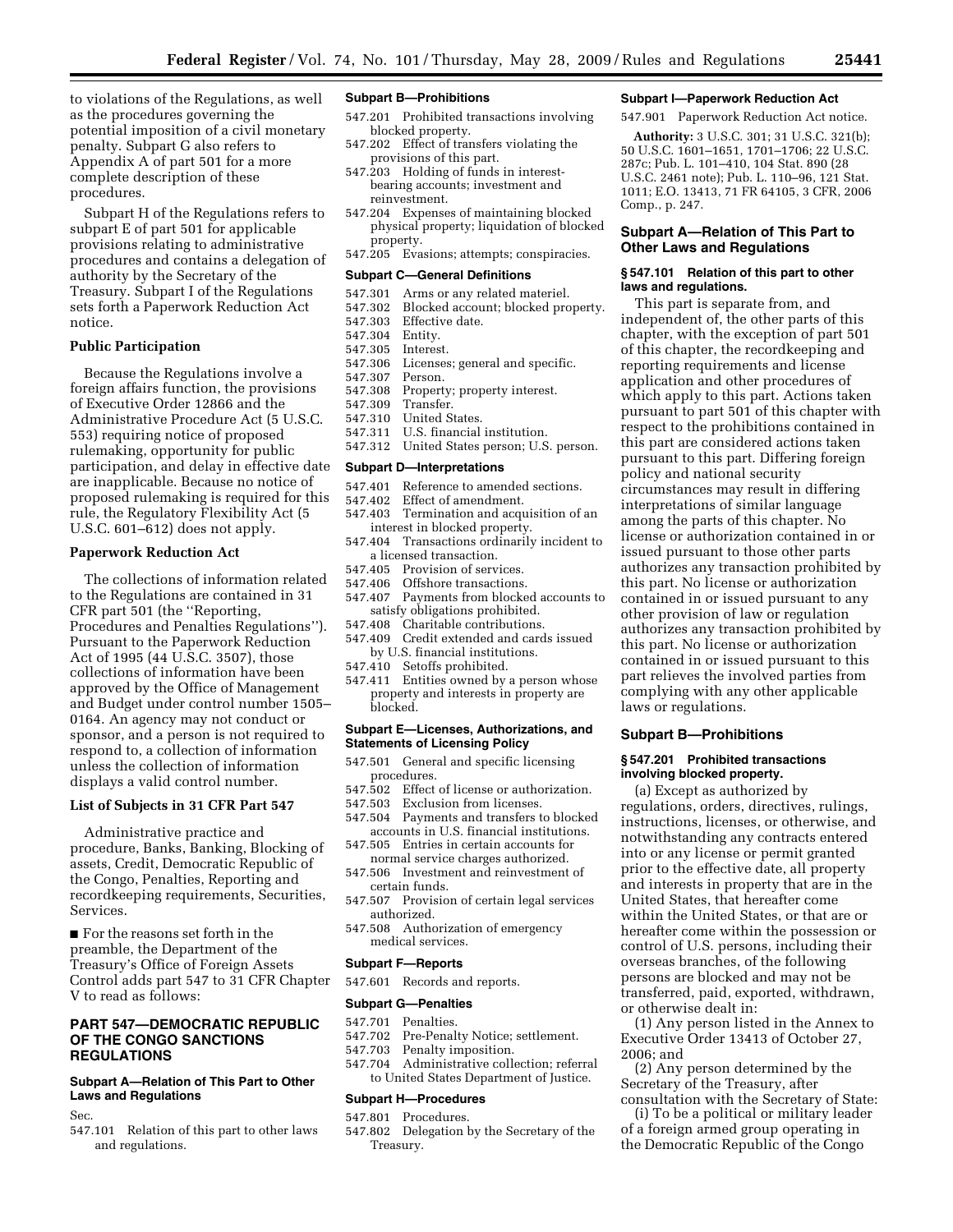to violations of the Regulations, as well as the procedures governing the potential imposition of a civil monetary penalty. Subpart G also refers to Appendix A of part 501 for a more complete description of these procedures.

Subpart H of the Regulations refers to subpart E of part 501 for applicable provisions relating to administrative procedures and contains a delegation of authority by the Secretary of the Treasury. Subpart I of the Regulations sets forth a Paperwork Reduction Act notice.

# **Public Participation**

Because the Regulations involve a foreign affairs function, the provisions of Executive Order 12866 and the Administrative Procedure Act (5 U.S.C. 553) requiring notice of proposed rulemaking, opportunity for public participation, and delay in effective date are inapplicable. Because no notice of proposed rulemaking is required for this rule, the Regulatory Flexibility Act (5 U.S.C. 601–612) does not apply.

#### **Paperwork Reduction Act**

The collections of information related to the Regulations are contained in 31 CFR part 501 (the ''Reporting, Procedures and Penalties Regulations''). Pursuant to the Paperwork Reduction Act of 1995 (44 U.S.C. 3507), those collections of information have been approved by the Office of Management and Budget under control number 1505– 0164. An agency may not conduct or sponsor, and a person is not required to respond to, a collection of information unless the collection of information displays a valid control number.

#### **List of Subjects in 31 CFR Part 547**

Administrative practice and procedure, Banks, Banking, Blocking of assets, Credit, Democratic Republic of the Congo, Penalties, Reporting and recordkeeping requirements, Securities, Services.

■ For the reasons set forth in the preamble, the Department of the Treasury's Office of Foreign Assets Control adds part 547 to 31 CFR Chapter V to read as follows:

# **PART 547—DEMOCRATIC REPUBLIC OF THE CONGO SANCTIONS REGULATIONS**

## **Subpart A—Relation of This Part to Other Laws and Regulations**

#### Sec.

547.101 Relation of this part to other laws and regulations.

#### **Subpart B—Prohibitions**

- 547.201 Prohibited transactions involving blocked property.
- 547.202 Effect of transfers violating the provisions of this part.
- 547.203 Holding of funds in interestbearing accounts; investment and reinvestment.
- 547.204 Expenses of maintaining blocked physical property; liquidation of blocked property.
- 547.205 Evasions; attempts; conspiracies.

# **Subpart C—General Definitions**

- 547.301 Arms or any related materiel.<br>547.302 Blocked account; blocked pro
- 547.302 Blocked account; blocked property.<br>547.303 Effective date.
	- Effective date.
- 547.304 Entity.
- 547.305 Interest.
- 547.306 Licenses; general and specific.
- 547.307 Person.
- Property; property interest.
- 547.309 Transfer.
- **United States**
- 547.311 U.S. financial institution.
- 547.312 United States person; U.S. person.

#### **Subpart D—Interpretations**

- 547.401 Reference to amended sections.<br>547.402 Effect of amendment.
- 
- 547.402 Effect of amendment.<br>547.403 Termination and acqu Termination and acquisition of an interest in blocked property.
- 547.404 Transactions ordinarily incident to a licensed transaction.
- 547.405 Provision of services.<br>547.406 Offshore transactions
- 547.406 Offshore transactions.<br>547.407 Payments from blocke
- Payments from blocked accounts to satisfy obligations prohibited.
- 547.408 Charitable contributions.
- 547.409 Credit extended and cards issued by U.S. financial institutions.
- 547.410 Setoffs prohibited.
- 547.411 Entities owned by a person whose property and interests in property are blocked.

#### **Subpart E—Licenses, Authorizations, and Statements of Licensing Policy**

- 547.501 General and specific licensing
- procedures.<br>547.502 Effect
- 547.502 Effect of license or authorization.<br>547.503 Exclusion from licenses. Exclusion from licenses.
- 547.504 Payments and transfers to blocked
- accounts in U.S. financial institutions. 547.505 Entries in certain accounts for
- normal service charges authorized.
- 547.506 Investment and reinvestment of certain funds.
- 547.507 Provision of certain legal services authorized.
- 547.508 Authorization of emergency medical services.

#### **Subpart F—Reports**

547.601 Records and reports.

## **Subpart G—Penalties**

- 547.701 Penalties.
- 547.702 Pre-Penalty Notice; settlement.<br>547.703 Penalty imposition
	- Penalty imposition.
- 547.704 Administrative collection; referral to United States Department of Justice.

#### **Subpart H—Procedures**

# 547.801 Procedures.

547.802 Delegation by the Secretary of the Treasury.

#### **Subpart I—Paperwork Reduction Act**

547.901 Paperwork Reduction Act notice.

**Authority:** 3 U.S.C. 301; 31 U.S.C. 321(b); 50 U.S.C. 1601–1651, 1701–1706; 22 U.S.C. 287c; Pub. L. 101–410, 104 Stat. 890 (28 U.S.C. 2461 note); Pub. L. 110–96, 121 Stat. 1011; E.O. 13413, 71 FR 64105, 3 CFR, 2006 Comp., p. 247.

## **Subpart A—Relation of This Part to Other Laws and Regulations**

## **§ 547.101 Relation of this part to other laws and regulations.**

This part is separate from, and independent of, the other parts of this chapter, with the exception of part 501 of this chapter, the recordkeeping and reporting requirements and license application and other procedures of which apply to this part. Actions taken pursuant to part 501 of this chapter with respect to the prohibitions contained in this part are considered actions taken pursuant to this part. Differing foreign policy and national security circumstances may result in differing interpretations of similar language among the parts of this chapter. No license or authorization contained in or issued pursuant to those other parts authorizes any transaction prohibited by this part. No license or authorization contained in or issued pursuant to any other provision of law or regulation authorizes any transaction prohibited by this part. No license or authorization contained in or issued pursuant to this part relieves the involved parties from complying with any other applicable laws or regulations.

#### **Subpart B—Prohibitions**

#### **§ 547.201 Prohibited transactions involving blocked property.**

(a) Except as authorized by regulations, orders, directives, rulings, instructions, licenses, or otherwise, and notwithstanding any contracts entered into or any license or permit granted prior to the effective date, all property and interests in property that are in the United States, that hereafter come within the United States, or that are or hereafter come within the possession or control of U.S. persons, including their overseas branches, of the following persons are blocked and may not be transferred, paid, exported, withdrawn, or otherwise dealt in:

(1) Any person listed in the Annex to Executive Order 13413 of October 27, 2006; and

(2) Any person determined by the Secretary of the Treasury, after consultation with the Secretary of State:

(i) To be a political or military leader of a foreign armed group operating in the Democratic Republic of the Congo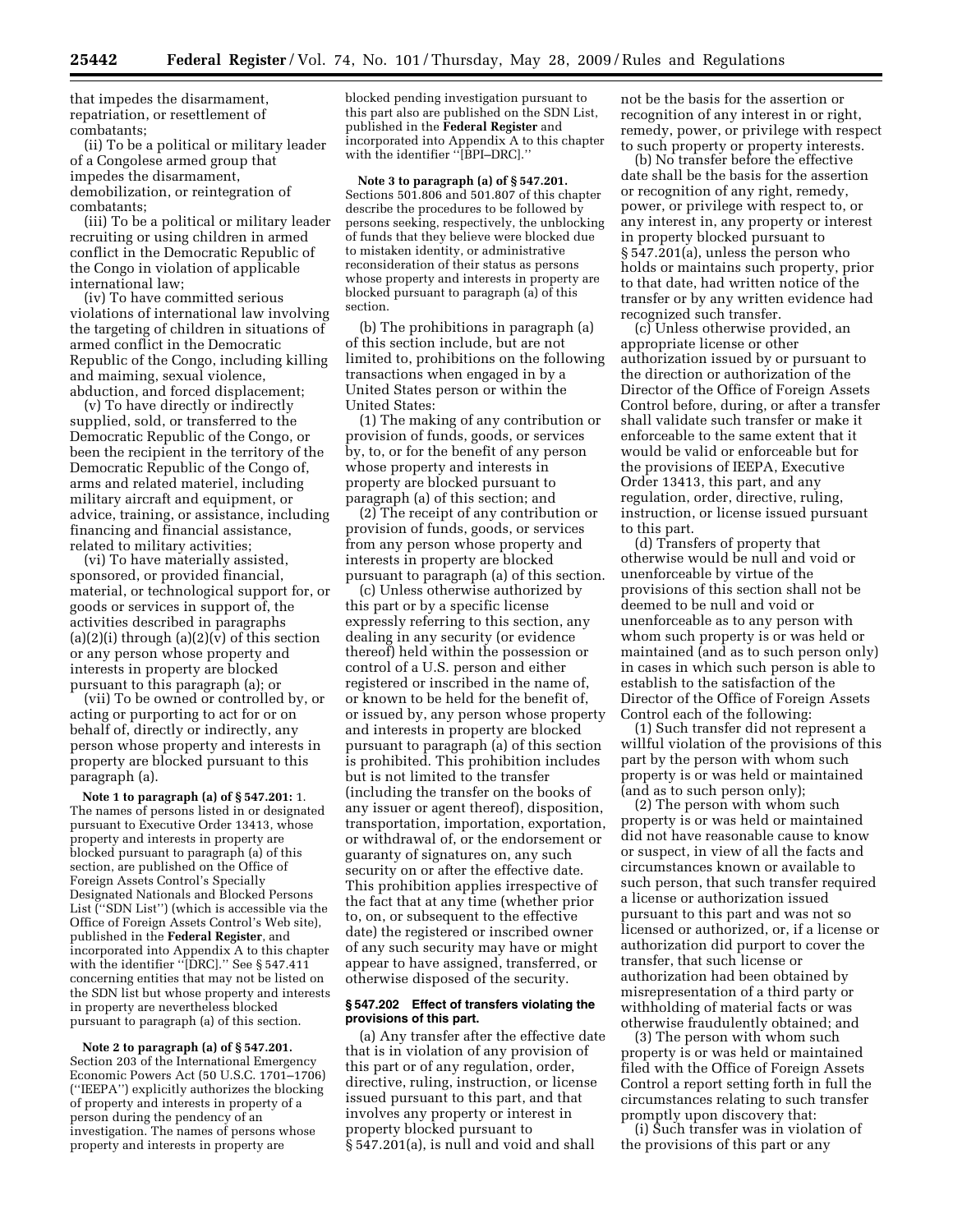that impedes the disarmament, repatriation, or resettlement of combatants;

(ii) To be a political or military leader of a Congolese armed group that impedes the disarmament, demobilization, or reintegration of combatants;

(iii) To be a political or military leader recruiting or using children in armed conflict in the Democratic Republic of the Congo in violation of applicable international law;

(iv) To have committed serious violations of international law involving the targeting of children in situations of armed conflict in the Democratic Republic of the Congo, including killing and maiming, sexual violence, abduction, and forced displacement;

(v) To have directly or indirectly supplied, sold, or transferred to the Democratic Republic of the Congo, or been the recipient in the territory of the Democratic Republic of the Congo of, arms and related materiel, including military aircraft and equipment, or advice, training, or assistance, including financing and financial assistance, related to military activities;

(vi) To have materially assisted, sponsored, or provided financial, material, or technological support for, or goods or services in support of, the activities described in paragraphs  $(a)(2)(i)$  through  $(a)(2)(v)$  of this section or any person whose property and interests in property are blocked pursuant to this paragraph (a); or

(vii) To be owned or controlled by, or acting or purporting to act for or on behalf of, directly or indirectly, any person whose property and interests in property are blocked pursuant to this paragraph (a).

**Note 1 to paragraph (a) of § 547.201:** 1. The names of persons listed in or designated pursuant to Executive Order 13413, whose property and interests in property are blocked pursuant to paragraph (a) of this section, are published on the Office of Foreign Assets Control's Specially Designated Nationals and Blocked Persons List (''SDN List'') (which is accessible via the Office of Foreign Assets Control's Web site), published in the **Federal Register**, and incorporated into Appendix A to this chapter with the identifier "[DRC]." See § 547.411 concerning entities that may not be listed on the SDN list but whose property and interests in property are nevertheless blocked pursuant to paragraph (a) of this section.

**Note 2 to paragraph (a) of § 547.201.**  Section 203 of the International Emergency Economic Powers Act (50 U.S.C. 1701–1706) (''IEEPA'') explicitly authorizes the blocking of property and interests in property of a person during the pendency of an investigation. The names of persons whose property and interests in property are

blocked pending investigation pursuant to this part also are published on the SDN List, published in the **Federal Register** and incorporated into Appendix A to this chapter with the identifier "[BPI–DRC].'

**Note 3 to paragraph (a) of § 547.201.**  Sections 501.806 and 501.807 of this chapter describe the procedures to be followed by persons seeking, respectively, the unblocking of funds that they believe were blocked due to mistaken identity, or administrative reconsideration of their status as persons whose property and interests in property are blocked pursuant to paragraph (a) of this section.

(b) The prohibitions in paragraph (a) of this section include, but are not limited to, prohibitions on the following transactions when engaged in by a United States person or within the United States:

(1) The making of any contribution or provision of funds, goods, or services by, to, or for the benefit of any person whose property and interests in property are blocked pursuant to paragraph (a) of this section; and

(2) The receipt of any contribution or provision of funds, goods, or services from any person whose property and interests in property are blocked pursuant to paragraph (a) of this section.

(c) Unless otherwise authorized by this part or by a specific license expressly referring to this section, any dealing in any security (or evidence thereof) held within the possession or control of a U.S. person and either registered or inscribed in the name of, or known to be held for the benefit of, or issued by, any person whose property and interests in property are blocked pursuant to paragraph (a) of this section is prohibited. This prohibition includes but is not limited to the transfer (including the transfer on the books of any issuer or agent thereof), disposition, transportation, importation, exportation, or withdrawal of, or the endorsement or guaranty of signatures on, any such security on or after the effective date. This prohibition applies irrespective of the fact that at any time (whether prior to, on, or subsequent to the effective date) the registered or inscribed owner of any such security may have or might appear to have assigned, transferred, or otherwise disposed of the security.

#### **§ 547.202 Effect of transfers violating the provisions of this part.**

(a) Any transfer after the effective date that is in violation of any provision of this part or of any regulation, order, directive, ruling, instruction, or license issued pursuant to this part, and that involves any property or interest in property blocked pursuant to § 547.201(a), is null and void and shall

not be the basis for the assertion or recognition of any interest in or right, remedy, power, or privilege with respect to such property or property interests.

(b) No transfer before the effective date shall be the basis for the assertion or recognition of any right, remedy, power, or privilege with respect to, or any interest in, any property or interest in property blocked pursuant to § 547.201(a), unless the person who holds or maintains such property, prior to that date, had written notice of the transfer or by any written evidence had recognized such transfer.

(c) Unless otherwise provided, an appropriate license or other authorization issued by or pursuant to the direction or authorization of the Director of the Office of Foreign Assets Control before, during, or after a transfer shall validate such transfer or make it enforceable to the same extent that it would be valid or enforceable but for the provisions of IEEPA, Executive Order 13413, this part, and any regulation, order, directive, ruling, instruction, or license issued pursuant to this part.

(d) Transfers of property that otherwise would be null and void or unenforceable by virtue of the provisions of this section shall not be deemed to be null and void or unenforceable as to any person with whom such property is or was held or maintained (and as to such person only) in cases in which such person is able to establish to the satisfaction of the Director of the Office of Foreign Assets Control each of the following:

(1) Such transfer did not represent a willful violation of the provisions of this part by the person with whom such property is or was held or maintained (and as to such person only);

(2) The person with whom such property is or was held or maintained did not have reasonable cause to know or suspect, in view of all the facts and circumstances known or available to such person, that such transfer required a license or authorization issued pursuant to this part and was not so licensed or authorized, or, if a license or authorization did purport to cover the transfer, that such license or authorization had been obtained by misrepresentation of a third party or withholding of material facts or was otherwise fraudulently obtained; and

(3) The person with whom such property is or was held or maintained filed with the Office of Foreign Assets Control a report setting forth in full the circumstances relating to such transfer promptly upon discovery that:

(i) Such transfer was in violation of the provisions of this part or any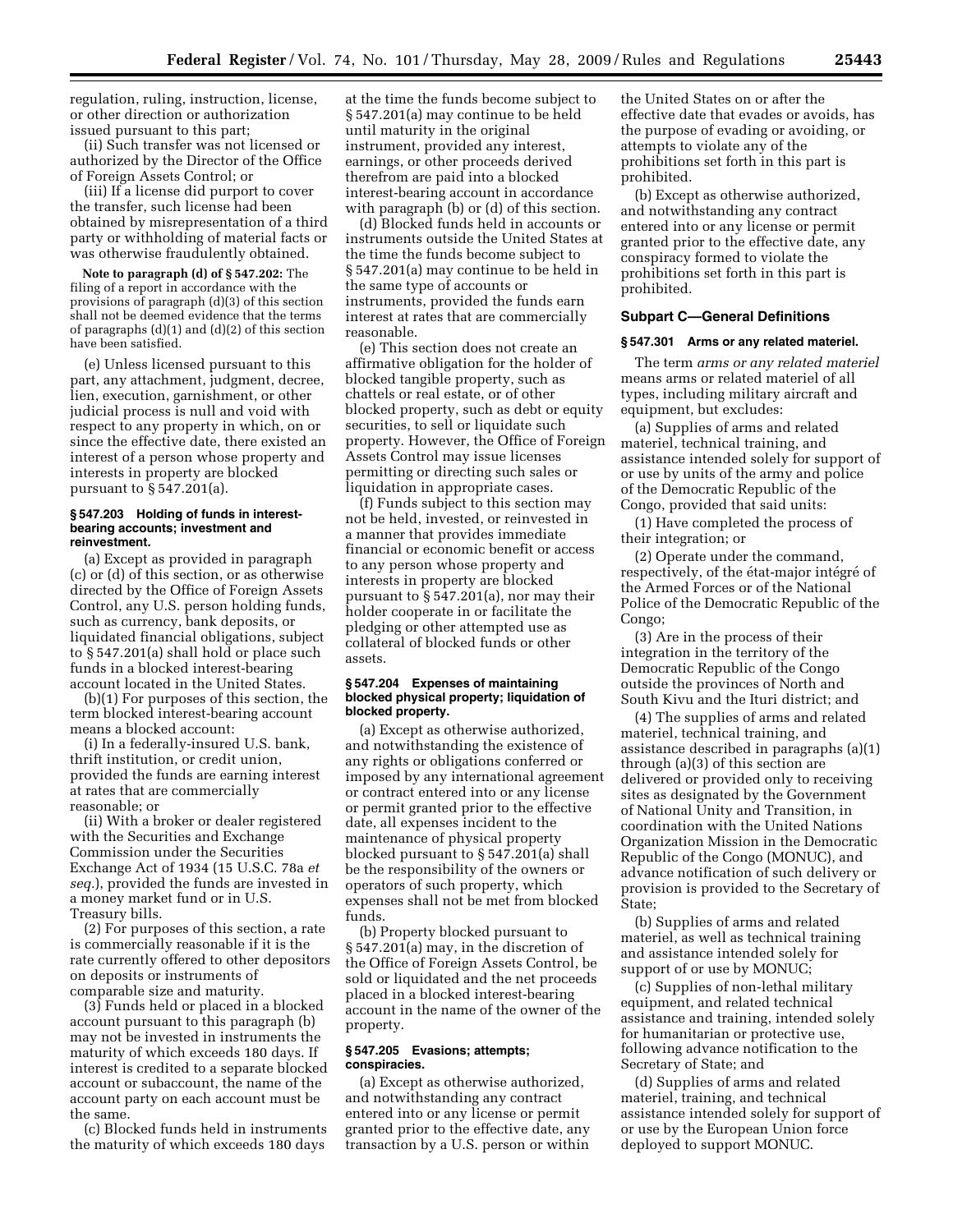regulation, ruling, instruction, license, or other direction or authorization issued pursuant to this part;

(ii) Such transfer was not licensed or authorized by the Director of the Office of Foreign Assets Control; or

(iii) If a license did purport to cover the transfer, such license had been obtained by misrepresentation of a third party or withholding of material facts or was otherwise fraudulently obtained.

**Note to paragraph (d) of § 547.202:** The filing of a report in accordance with the provisions of paragraph (d)(3) of this section shall not be deemed evidence that the terms of paragraphs  $(d)(1)$  and  $(d)(2)$  of this section have been satisfied.

(e) Unless licensed pursuant to this part, any attachment, judgment, decree, lien, execution, garnishment, or other judicial process is null and void with respect to any property in which, on or since the effective date, there existed an interest of a person whose property and interests in property are blocked pursuant to § 547.201(a).

#### **§ 547.203 Holding of funds in interestbearing accounts; investment and reinvestment.**

(a) Except as provided in paragraph (c) or (d) of this section, or as otherwise directed by the Office of Foreign Assets Control, any U.S. person holding funds, such as currency, bank deposits, or liquidated financial obligations, subject to § 547.201(a) shall hold or place such funds in a blocked interest-bearing account located in the United States.

(b)(1) For purposes of this section, the term blocked interest-bearing account means a blocked account:

(i) In a federally-insured U.S. bank, thrift institution, or credit union, provided the funds are earning interest at rates that are commercially reasonable; or

(ii) With a broker or dealer registered with the Securities and Exchange Commission under the Securities Exchange Act of 1934 (15 U.S.C. 78a *et seq.*), provided the funds are invested in a money market fund or in U.S. Treasury bills.

(2) For purposes of this section, a rate is commercially reasonable if it is the rate currently offered to other depositors on deposits or instruments of comparable size and maturity.

(3) Funds held or placed in a blocked account pursuant to this paragraph (b) may not be invested in instruments the maturity of which exceeds 180 days. If interest is credited to a separate blocked account or subaccount, the name of the account party on each account must be the same.

(c) Blocked funds held in instruments the maturity of which exceeds 180 days

at the time the funds become subject to § 547.201(a) may continue to be held until maturity in the original instrument, provided any interest, earnings, or other proceeds derived therefrom are paid into a blocked interest-bearing account in accordance with paragraph (b) or (d) of this section.

(d) Blocked funds held in accounts or instruments outside the United States at the time the funds become subject to § 547.201(a) may continue to be held in the same type of accounts or instruments, provided the funds earn interest at rates that are commercially reasonable.

(e) This section does not create an affirmative obligation for the holder of blocked tangible property, such as chattels or real estate, or of other blocked property, such as debt or equity securities, to sell or liquidate such property. However, the Office of Foreign Assets Control may issue licenses permitting or directing such sales or liquidation in appropriate cases.

(f) Funds subject to this section may not be held, invested, or reinvested in a manner that provides immediate financial or economic benefit or access to any person whose property and interests in property are blocked pursuant to § 547.201(a), nor may their holder cooperate in or facilitate the pledging or other attempted use as collateral of blocked funds or other assets.

#### **§ 547.204 Expenses of maintaining blocked physical property; liquidation of blocked property.**

(a) Except as otherwise authorized, and notwithstanding the existence of any rights or obligations conferred or imposed by any international agreement or contract entered into or any license or permit granted prior to the effective date, all expenses incident to the maintenance of physical property blocked pursuant to § 547.201(a) shall be the responsibility of the owners or operators of such property, which expenses shall not be met from blocked funds.

(b) Property blocked pursuant to § 547.201(a) may, in the discretion of the Office of Foreign Assets Control, be sold or liquidated and the net proceeds placed in a blocked interest-bearing account in the name of the owner of the property.

#### **§ 547.205 Evasions; attempts; conspiracies.**

(a) Except as otherwise authorized, and notwithstanding any contract entered into or any license or permit granted prior to the effective date, any transaction by a U.S. person or within

the United States on or after the effective date that evades or avoids, has the purpose of evading or avoiding, or attempts to violate any of the prohibitions set forth in this part is prohibited.

(b) Except as otherwise authorized, and notwithstanding any contract entered into or any license or permit granted prior to the effective date, any conspiracy formed to violate the prohibitions set forth in this part is prohibited.

# **Subpart C—General Definitions**

# **§ 547.301 Arms or any related materiel.**

The term *arms or any related materiel*  means arms or related materiel of all types, including military aircraft and equipment, but excludes:

(a) Supplies of arms and related materiel, technical training, and assistance intended solely for support of or use by units of the army and police of the Democratic Republic of the Congo, provided that said units:

(1) Have completed the process of their integration; or

(2) Operate under the command, respectively, of the état-major intégré of the Armed Forces or of the National Police of the Democratic Republic of the Congo;

(3) Are in the process of their integration in the territory of the Democratic Republic of the Congo outside the provinces of North and South Kivu and the Ituri district; and

(4) The supplies of arms and related materiel, technical training, and assistance described in paragraphs (a)(1) through (a)(3) of this section are delivered or provided only to receiving sites as designated by the Government of National Unity and Transition, in coordination with the United Nations Organization Mission in the Democratic Republic of the Congo (MONUC), and advance notification of such delivery or provision is provided to the Secretary of State;

(b) Supplies of arms and related materiel, as well as technical training and assistance intended solely for support of or use by MONUC;

(c) Supplies of non-lethal military equipment, and related technical assistance and training, intended solely for humanitarian or protective use, following advance notification to the Secretary of State; and

(d) Supplies of arms and related materiel, training, and technical assistance intended solely for support of or use by the European Union force deployed to support MONUC.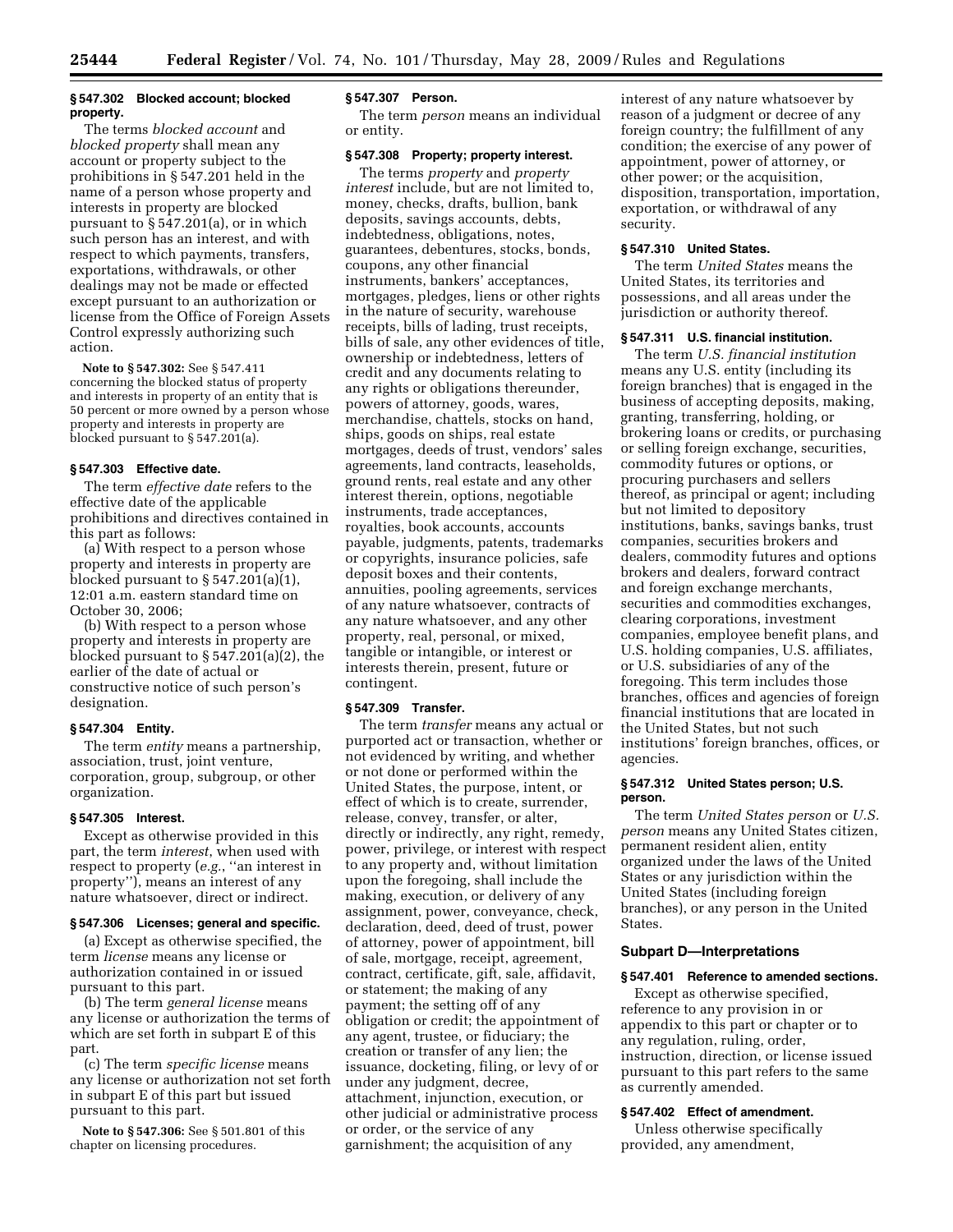#### **§ 547.302 Blocked account; blocked property.**

The terms *blocked account* and *blocked property* shall mean any account or property subject to the prohibitions in § 547.201 held in the name of a person whose property and interests in property are blocked pursuant to § 547.201(a), or in which such person has an interest, and with respect to which payments, transfers, exportations, withdrawals, or other dealings may not be made or effected except pursuant to an authorization or license from the Office of Foreign Assets Control expressly authorizing such action.

**Note to § 547.302:** See § 547.411 concerning the blocked status of property and interests in property of an entity that is 50 percent or more owned by a person whose property and interests in property are blocked pursuant to § 547.201(a).

#### **§ 547.303 Effective date.**

The term *effective date* refers to the effective date of the applicable prohibitions and directives contained in this part as follows:

(a) With respect to a person whose property and interests in property are blocked pursuant to  $\S 547.201(a)(1)$ , 12:01 a.m. eastern standard time on October 30, 2006;

(b) With respect to a person whose property and interests in property are blocked pursuant to § 547.201(a)(2), the earlier of the date of actual or constructive notice of such person's designation.

## **§ 547.304 Entity.**

The term *entity* means a partnership, association, trust, joint venture, corporation, group, subgroup, or other organization.

# **§ 547.305 Interest.**

Except as otherwise provided in this part, the term *interest*, when used with respect to property (*e.g.*, ''an interest in property''), means an interest of any nature whatsoever, direct or indirect.

# **§ 547.306 Licenses; general and specific.**

(a) Except as otherwise specified, the term *license* means any license or authorization contained in or issued pursuant to this part.

(b) The term *general license* means any license or authorization the terms of which are set forth in subpart E of this part.

(c) The term *specific license* means any license or authorization not set forth in subpart E of this part but issued pursuant to this part.

**Note to § 547.306:** See § 501.801 of this chapter on licensing procedures.

# **§ 547.307 Person.**

The term *person* means an individual or entity.

# **§ 547.308 Property; property interest.**

The terms *property* and *property interest* include, but are not limited to, money, checks, drafts, bullion, bank deposits, savings accounts, debts, indebtedness, obligations, notes, guarantees, debentures, stocks, bonds, coupons, any other financial instruments, bankers' acceptances, mortgages, pledges, liens or other rights in the nature of security, warehouse receipts, bills of lading, trust receipts, bills of sale, any other evidences of title, ownership or indebtedness, letters of credit and any documents relating to any rights or obligations thereunder, powers of attorney, goods, wares, merchandise, chattels, stocks on hand, ships, goods on ships, real estate mortgages, deeds of trust, vendors' sales agreements, land contracts, leaseholds, ground rents, real estate and any other interest therein, options, negotiable instruments, trade acceptances, royalties, book accounts, accounts payable, judgments, patents, trademarks or copyrights, insurance policies, safe deposit boxes and their contents, annuities, pooling agreements, services of any nature whatsoever, contracts of any nature whatsoever, and any other property, real, personal, or mixed, tangible or intangible, or interest or interests therein, present, future or contingent.

## **§ 547.309 Transfer.**

The term *transfer* means any actual or purported act or transaction, whether or not evidenced by writing, and whether or not done or performed within the United States, the purpose, intent, or effect of which is to create, surrender, release, convey, transfer, or alter, directly or indirectly, any right, remedy, power, privilege, or interest with respect to any property and, without limitation upon the foregoing, shall include the making, execution, or delivery of any assignment, power, conveyance, check, declaration, deed, deed of trust, power of attorney, power of appointment, bill of sale, mortgage, receipt, agreement, contract, certificate, gift, sale, affidavit, or statement; the making of any payment; the setting off of any obligation or credit; the appointment of any agent, trustee, or fiduciary; the creation or transfer of any lien; the issuance, docketing, filing, or levy of or under any judgment, decree, attachment, injunction, execution, or other judicial or administrative process or order, or the service of any garnishment; the acquisition of any

interest of any nature whatsoever by reason of a judgment or decree of any foreign country; the fulfillment of any condition; the exercise of any power of appointment, power of attorney, or other power; or the acquisition, disposition, transportation, importation, exportation, or withdrawal of any security.

#### **§ 547.310 United States.**

The term *United States* means the United States, its territories and possessions, and all areas under the jurisdiction or authority thereof.

### **§ 547.311 U.S. financial institution.**

The term *U.S. financial institution*  means any U.S. entity (including its foreign branches) that is engaged in the business of accepting deposits, making, granting, transferring, holding, or brokering loans or credits, or purchasing or selling foreign exchange, securities, commodity futures or options, or procuring purchasers and sellers thereof, as principal or agent; including but not limited to depository institutions, banks, savings banks, trust companies, securities brokers and dealers, commodity futures and options brokers and dealers, forward contract and foreign exchange merchants, securities and commodities exchanges, clearing corporations, investment companies, employee benefit plans, and U.S. holding companies, U.S. affiliates, or U.S. subsidiaries of any of the foregoing. This term includes those branches, offices and agencies of foreign financial institutions that are located in the United States, but not such institutions' foreign branches, offices, or agencies.

### **§ 547.312 United States person; U.S. person.**

The term *United States person* or *U.S. person* means any United States citizen, permanent resident alien, entity organized under the laws of the United States or any jurisdiction within the United States (including foreign branches), or any person in the United States.

#### **Subpart D—Interpretations**

## **§ 547.401 Reference to amended sections.**

Except as otherwise specified, reference to any provision in or appendix to this part or chapter or to any regulation, ruling, order, instruction, direction, or license issued pursuant to this part refers to the same as currently amended.

## **§ 547.402 Effect of amendment.**

Unless otherwise specifically provided, any amendment,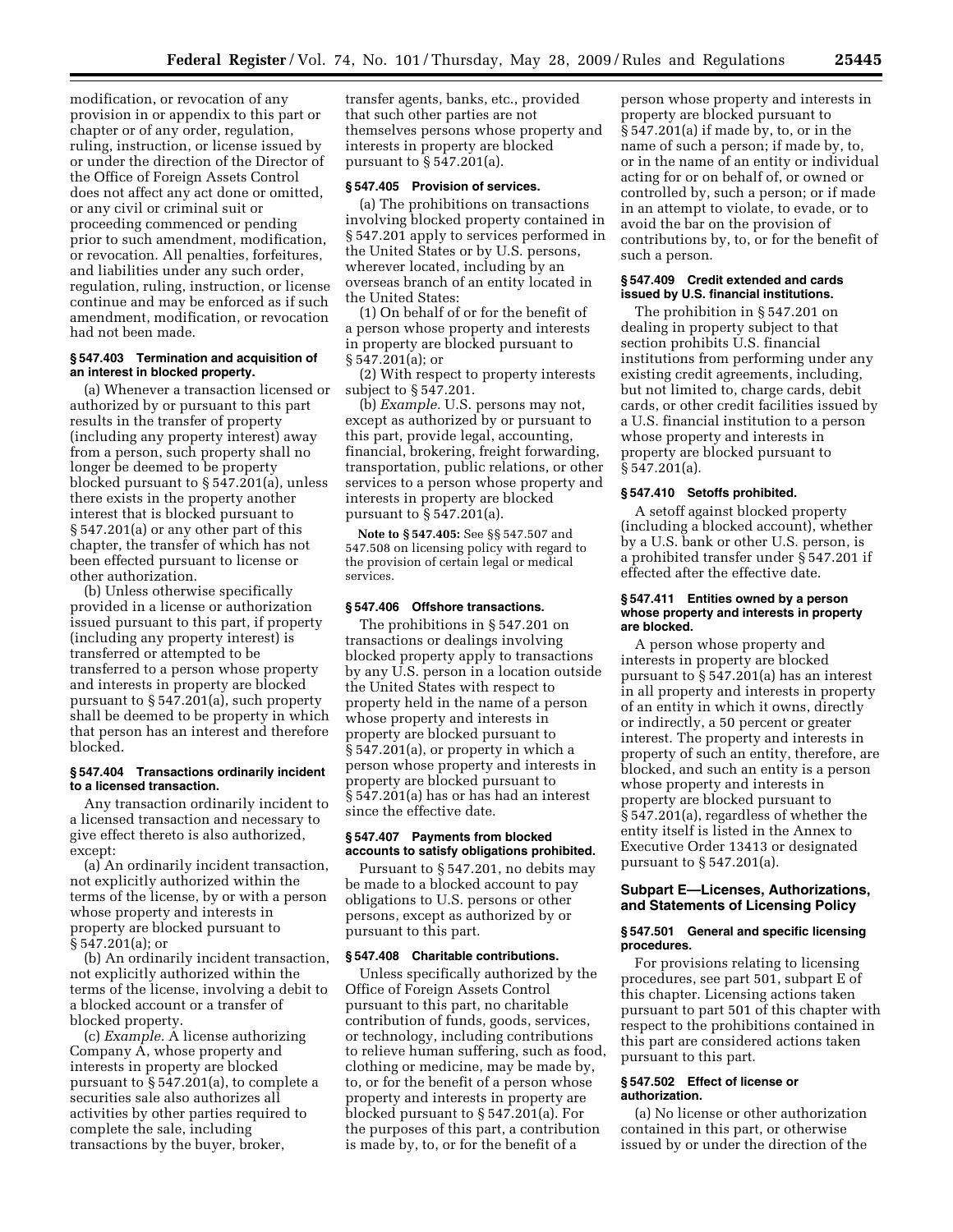modification, or revocation of any provision in or appendix to this part or chapter or of any order, regulation, ruling, instruction, or license issued by or under the direction of the Director of the Office of Foreign Assets Control does not affect any act done or omitted, or any civil or criminal suit or proceeding commenced or pending prior to such amendment, modification, or revocation. All penalties, forfeitures, and liabilities under any such order, regulation, ruling, instruction, or license continue and may be enforced as if such amendment, modification, or revocation had not been made.

## **§ 547.403 Termination and acquisition of an interest in blocked property.**

(a) Whenever a transaction licensed or authorized by or pursuant to this part results in the transfer of property (including any property interest) away from a person, such property shall no longer be deemed to be property blocked pursuant to § 547.201(a), unless there exists in the property another interest that is blocked pursuant to § 547.201(a) or any other part of this chapter, the transfer of which has not been effected pursuant to license or other authorization.

(b) Unless otherwise specifically provided in a license or authorization issued pursuant to this part, if property (including any property interest) is transferred or attempted to be transferred to a person whose property and interests in property are blocked pursuant to § 547.201(a), such property shall be deemed to be property in which that person has an interest and therefore blocked.

#### **§ 547.404 Transactions ordinarily incident to a licensed transaction.**

Any transaction ordinarily incident to a licensed transaction and necessary to give effect thereto is also authorized, except:

(a) An ordinarily incident transaction, not explicitly authorized within the terms of the license, by or with a person whose property and interests in property are blocked pursuant to § 547.201(a); or

(b) An ordinarily incident transaction, not explicitly authorized within the terms of the license, involving a debit to a blocked account or a transfer of blocked property.

(c) *Example.* A license authorizing Company A, whose property and interests in property are blocked pursuant to § 547.201(a), to complete a securities sale also authorizes all activities by other parties required to complete the sale, including transactions by the buyer, broker,

transfer agents, banks, etc., provided that such other parties are not themselves persons whose property and interests in property are blocked pursuant to § 547.201(a).

#### **§ 547.405 Provision of services.**

(a) The prohibitions on transactions involving blocked property contained in § 547.201 apply to services performed in the United States or by U.S. persons, wherever located, including by an overseas branch of an entity located in the United States:

(1) On behalf of or for the benefit of a person whose property and interests in property are blocked pursuant to § 547.201(a); or

(2) With respect to property interests subject to § 547.201.

(b) *Example.* U.S. persons may not, except as authorized by or pursuant to this part, provide legal, accounting, financial, brokering, freight forwarding, transportation, public relations, or other services to a person whose property and interests in property are blocked pursuant to § 547.201(a).

**Note to § 547.405:** See §§ 547.507 and 547.508 on licensing policy with regard to the provision of certain legal or medical services.

### **§ 547.406 Offshore transactions.**

The prohibitions in § 547.201 on transactions or dealings involving blocked property apply to transactions by any U.S. person in a location outside the United States with respect to property held in the name of a person whose property and interests in property are blocked pursuant to § 547.201(a), or property in which a person whose property and interests in property are blocked pursuant to § 547.201(a) has or has had an interest since the effective date.

#### **§ 547.407 Payments from blocked accounts to satisfy obligations prohibited.**

Pursuant to § 547.201, no debits may be made to a blocked account to pay obligations to U.S. persons or other persons, except as authorized by or pursuant to this part.

#### **§ 547.408 Charitable contributions.**

Unless specifically authorized by the Office of Foreign Assets Control pursuant to this part, no charitable contribution of funds, goods, services, or technology, including contributions to relieve human suffering, such as food, clothing or medicine, may be made by, to, or for the benefit of a person whose property and interests in property are blocked pursuant to § 547.201(a). For the purposes of this part, a contribution is made by, to, or for the benefit of a

person whose property and interests in property are blocked pursuant to § 547.201(a) if made by, to, or in the name of such a person; if made by, to, or in the name of an entity or individual acting for or on behalf of, or owned or controlled by, such a person; or if made in an attempt to violate, to evade, or to avoid the bar on the provision of contributions by, to, or for the benefit of such a person.

# **§ 547.409 Credit extended and cards issued by U.S. financial institutions.**

The prohibition in § 547.201 on dealing in property subject to that section prohibits U.S. financial institutions from performing under any existing credit agreements, including, but not limited to, charge cards, debit cards, or other credit facilities issued by a U.S. financial institution to a person whose property and interests in property are blocked pursuant to § 547.201(a).

#### **§ 547.410 Setoffs prohibited.**

A setoff against blocked property (including a blocked account), whether by a U.S. bank or other U.S. person, is a prohibited transfer under § 547.201 if effected after the effective date.

#### **§ 547.411 Entities owned by a person whose property and interests in property are blocked.**

A person whose property and interests in property are blocked pursuant to § 547.201(a) has an interest in all property and interests in property of an entity in which it owns, directly or indirectly, a 50 percent or greater interest. The property and interests in property of such an entity, therefore, are blocked, and such an entity is a person whose property and interests in property are blocked pursuant to § 547.201(a), regardless of whether the entity itself is listed in the Annex to Executive Order 13413 or designated pursuant to § 547.201(a).

# **Subpart E—Licenses, Authorizations, and Statements of Licensing Policy**

#### **§ 547.501 General and specific licensing procedures.**

For provisions relating to licensing procedures, see part 501, subpart E of this chapter. Licensing actions taken pursuant to part 501 of this chapter with respect to the prohibitions contained in this part are considered actions taken pursuant to this part.

## **§ 547.502 Effect of license or authorization.**

(a) No license or other authorization contained in this part, or otherwise issued by or under the direction of the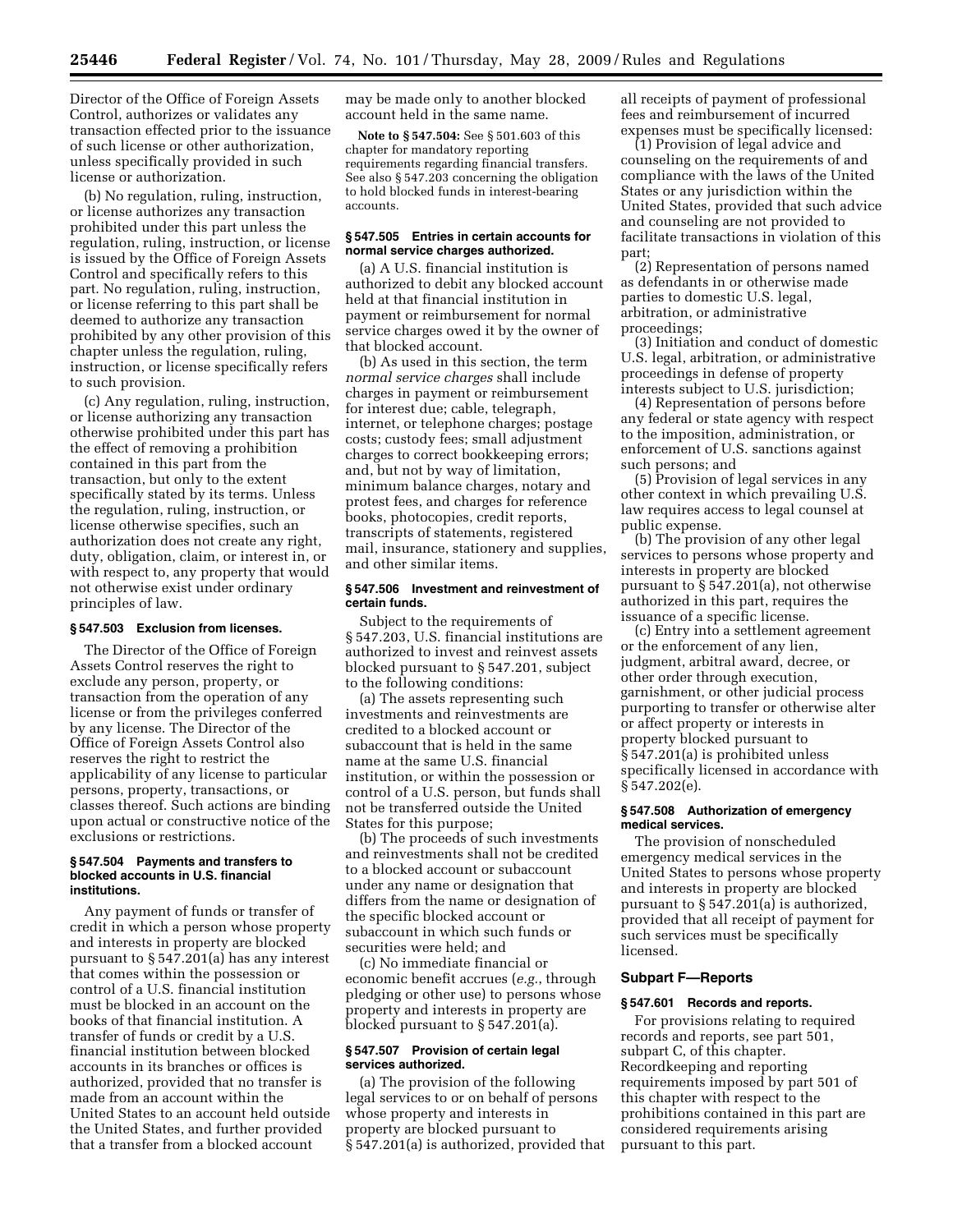Director of the Office of Foreign Assets Control, authorizes or validates any transaction effected prior to the issuance of such license or other authorization, unless specifically provided in such license or authorization.

(b) No regulation, ruling, instruction, or license authorizes any transaction prohibited under this part unless the regulation, ruling, instruction, or license is issued by the Office of Foreign Assets Control and specifically refers to this part. No regulation, ruling, instruction, or license referring to this part shall be deemed to authorize any transaction prohibited by any other provision of this chapter unless the regulation, ruling, instruction, or license specifically refers to such provision.

(c) Any regulation, ruling, instruction, or license authorizing any transaction otherwise prohibited under this part has the effect of removing a prohibition contained in this part from the transaction, but only to the extent specifically stated by its terms. Unless the regulation, ruling, instruction, or license otherwise specifies, such an authorization does not create any right, duty, obligation, claim, or interest in, or with respect to, any property that would not otherwise exist under ordinary principles of law.

#### **§ 547.503 Exclusion from licenses.**

The Director of the Office of Foreign Assets Control reserves the right to exclude any person, property, or transaction from the operation of any license or from the privileges conferred by any license. The Director of the Office of Foreign Assets Control also reserves the right to restrict the applicability of any license to particular persons, property, transactions, or classes thereof. Such actions are binding upon actual or constructive notice of the exclusions or restrictions.

#### **§ 547.504 Payments and transfers to blocked accounts in U.S. financial institutions.**

Any payment of funds or transfer of credit in which a person whose property and interests in property are blocked pursuant to § 547.201(a) has any interest that comes within the possession or control of a U.S. financial institution must be blocked in an account on the books of that financial institution. A transfer of funds or credit by a U.S. financial institution between blocked accounts in its branches or offices is authorized, provided that no transfer is made from an account within the United States to an account held outside the United States, and further provided that a transfer from a blocked account

may be made only to another blocked account held in the same name.

**Note to § 547.504:** See § 501.603 of this chapter for mandatory reporting requirements regarding financial transfers. See also § 547.203 concerning the obligation to hold blocked funds in interest-bearing accounts.

#### **§ 547.505 Entries in certain accounts for normal service charges authorized.**

(a) A U.S. financial institution is authorized to debit any blocked account held at that financial institution in payment or reimbursement for normal service charges owed it by the owner of that blocked account.

(b) As used in this section, the term *normal service charges* shall include charges in payment or reimbursement for interest due; cable, telegraph, internet, or telephone charges; postage costs; custody fees; small adjustment charges to correct bookkeeping errors; and, but not by way of limitation, minimum balance charges, notary and protest fees, and charges for reference books, photocopies, credit reports, transcripts of statements, registered mail, insurance, stationery and supplies, and other similar items.

#### **§ 547.506 Investment and reinvestment of certain funds.**

Subject to the requirements of § 547.203, U.S. financial institutions are authorized to invest and reinvest assets blocked pursuant to § 547.201, subject to the following conditions:

(a) The assets representing such investments and reinvestments are credited to a blocked account or subaccount that is held in the same name at the same U.S. financial institution, or within the possession or control of a U.S. person, but funds shall not be transferred outside the United States for this purpose;

(b) The proceeds of such investments and reinvestments shall not be credited to a blocked account or subaccount under any name or designation that differs from the name or designation of the specific blocked account or subaccount in which such funds or securities were held; and

(c) No immediate financial or economic benefit accrues (*e.g.*, through pledging or other use) to persons whose property and interests in property are blocked pursuant to § 547.201(a).

#### **§ 547.507 Provision of certain legal services authorized.**

(a) The provision of the following legal services to or on behalf of persons whose property and interests in property are blocked pursuant to § 547.201(a) is authorized, provided that all receipts of payment of professional fees and reimbursement of incurred expenses must be specifically licensed:

(1) Provision of legal advice and counseling on the requirements of and compliance with the laws of the United States or any jurisdiction within the United States, provided that such advice and counseling are not provided to facilitate transactions in violation of this part;

(2) Representation of persons named as defendants in or otherwise made parties to domestic U.S. legal, arbitration, or administrative proceedings;

(3) Initiation and conduct of domestic U.S. legal, arbitration, or administrative proceedings in defense of property interests subject to U.S. jurisdiction;

(4) Representation of persons before any federal or state agency with respect to the imposition, administration, or enforcement of U.S. sanctions against such persons; and

(5) Provision of legal services in any other context in which prevailing U.S. law requires access to legal counsel at public expense.

(b) The provision of any other legal services to persons whose property and interests in property are blocked pursuant to § 547.201(a), not otherwise authorized in this part, requires the issuance of a specific license.

(c) Entry into a settlement agreement or the enforcement of any lien, judgment, arbitral award, decree, or other order through execution, garnishment, or other judicial process purporting to transfer or otherwise alter or affect property or interests in property blocked pursuant to § 547.201(a) is prohibited unless specifically licensed in accordance with § 547.202(e).

## **§ 547.508 Authorization of emergency medical services.**

The provision of nonscheduled emergency medical services in the United States to persons whose property and interests in property are blocked pursuant to § 547.201(a) is authorized, provided that all receipt of payment for such services must be specifically licensed.

#### **Subpart F—Reports**

# **§ 547.601 Records and reports.**

For provisions relating to required records and reports, see part 501, subpart C, of this chapter. Recordkeeping and reporting requirements imposed by part 501 of this chapter with respect to the prohibitions contained in this part are considered requirements arising pursuant to this part.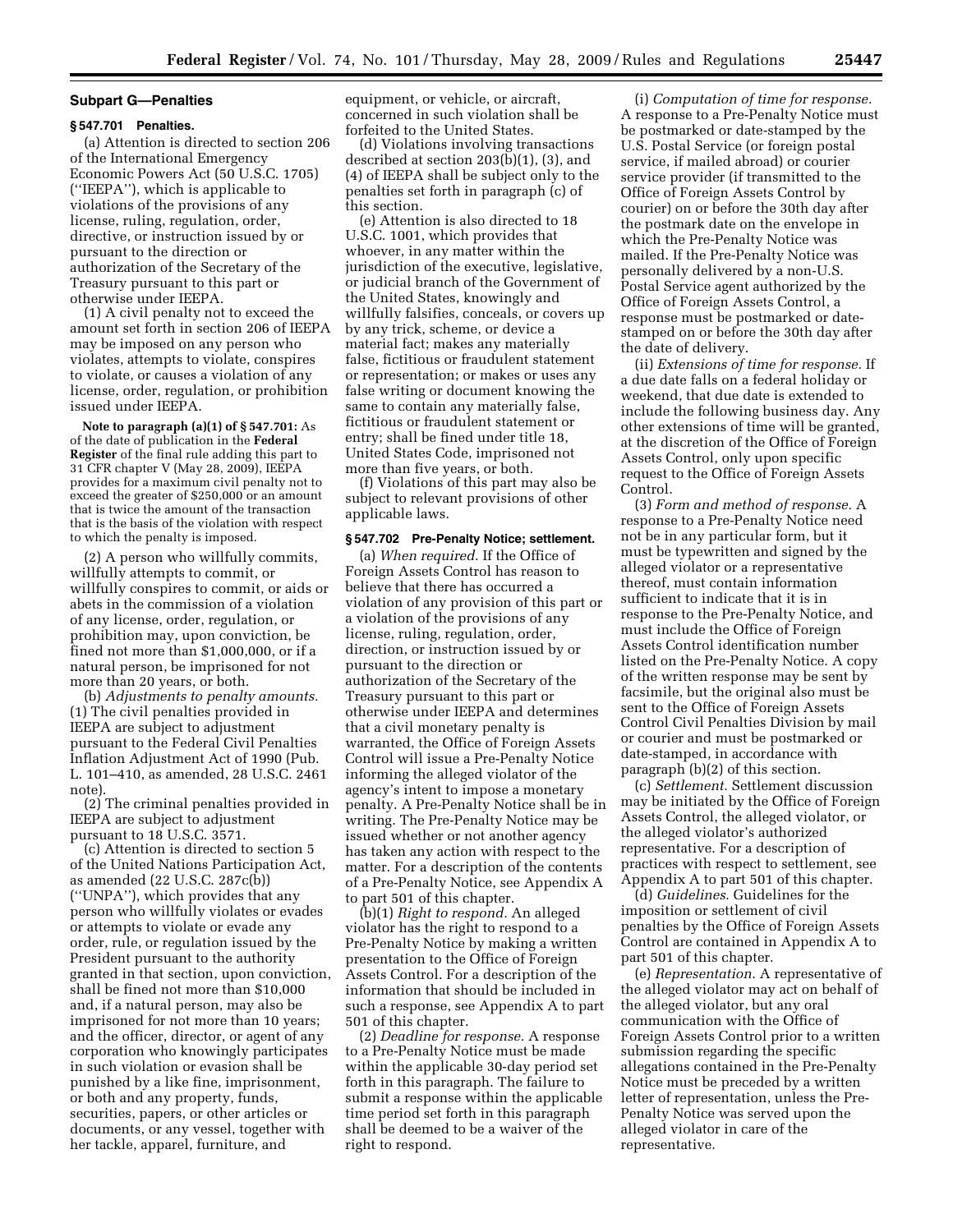#### **Subpart G—Penalties**

#### **§ 547.701 Penalties.**

(a) Attention is directed to section 206 of the International Emergency Economic Powers Act (50 U.S.C. 1705) (''IEEPA''), which is applicable to violations of the provisions of any license, ruling, regulation, order, directive, or instruction issued by or pursuant to the direction or authorization of the Secretary of the Treasury pursuant to this part or otherwise under IEEPA.

(1) A civil penalty not to exceed the amount set forth in section 206 of IEEPA may be imposed on any person who violates, attempts to violate, conspires to violate, or causes a violation of any license, order, regulation, or prohibition issued under IEEPA.

**Note to paragraph (a)(1) of § 547.701:** As of the date of publication in the **Federal Register** of the final rule adding this part to 31 CFR chapter V (May 28, 2009), IEEPA provides for a maximum civil penalty not to exceed the greater of \$250,000 or an amount that is twice the amount of the transaction that is the basis of the violation with respect to which the penalty is imposed.

(2) A person who willfully commits, willfully attempts to commit, or willfully conspires to commit, or aids or abets in the commission of a violation of any license, order, regulation, or prohibition may, upon conviction, be fined not more than \$1,000,000, or if a natural person, be imprisoned for not more than 20 years, or both.

(b) *Adjustments to penalty amounts.*  (1) The civil penalties provided in IEEPA are subject to adjustment pursuant to the Federal Civil Penalties Inflation Adjustment Act of 1990 (Pub. L. 101–410, as amended, 28 U.S.C. 2461 note).

(2) The criminal penalties provided in IEEPA are subject to adjustment pursuant to 18 U.S.C. 3571.

(c) Attention is directed to section 5 of the United Nations Participation Act, as amended (22 U.S.C. 287c(b)) (''UNPA''), which provides that any person who willfully violates or evades or attempts to violate or evade any order, rule, or regulation issued by the President pursuant to the authority granted in that section, upon conviction, shall be fined not more than \$10,000 and, if a natural person, may also be imprisoned for not more than 10 years; and the officer, director, or agent of any corporation who knowingly participates in such violation or evasion shall be punished by a like fine, imprisonment, or both and any property, funds, securities, papers, or other articles or documents, or any vessel, together with her tackle, apparel, furniture, and

equipment, or vehicle, or aircraft, concerned in such violation shall be forfeited to the United States.

(d) Violations involving transactions described at section 203(b)(1), (3), and (4) of IEEPA shall be subject only to the penalties set forth in paragraph (c) of this section.

(e) Attention is also directed to 18 U.S.C. 1001, which provides that whoever, in any matter within the jurisdiction of the executive, legislative, or judicial branch of the Government of the United States, knowingly and willfully falsifies, conceals, or covers up by any trick, scheme, or device a material fact; makes any materially false, fictitious or fraudulent statement or representation; or makes or uses any false writing or document knowing the same to contain any materially false, fictitious or fraudulent statement or entry; shall be fined under title 18, United States Code, imprisoned not more than five years, or both.

(f) Violations of this part may also be subject to relevant provisions of other applicable laws.

# § 547.702 Pre-Penalty Notice; settlement.

(a) *When required*. If the Office of Foreign Assets Control has reason to believe that there has occurred a violation of any provision of this part or a violation of the provisions of any license, ruling, regulation, order, direction, or instruction issued by or pursuant to the direction or authorization of the Secretary of the Treasury pursuant to this part or otherwise under IEEPA and determines that a civil monetary penalty is warranted, the Office of Foreign Assets Control will issue a Pre-Penalty Notice informing the alleged violator of the agency's intent to impose a monetary penalty. A Pre-Penalty Notice shall be in writing. The Pre-Penalty Notice may be issued whether or not another agency has taken any action with respect to the matter. For a description of the contents of a Pre-Penalty Notice, see Appendix A to part 501 of this chapter.

(b)(1) *Right to respond.* An alleged violator has the right to respond to a Pre-Penalty Notice by making a written presentation to the Office of Foreign Assets Control. For a description of the information that should be included in such a response, see Appendix A to part 501 of this chapter.

(2) *Deadline for response.* A response to a Pre-Penalty Notice must be made within the applicable 30-day period set forth in this paragraph. The failure to submit a response within the applicable time period set forth in this paragraph shall be deemed to be a waiver of the right to respond.

(i) *Computation of time for response.*  A response to a Pre-Penalty Notice must be postmarked or date-stamped by the U.S. Postal Service (or foreign postal service, if mailed abroad) or courier service provider (if transmitted to the Office of Foreign Assets Control by courier) on or before the 30th day after the postmark date on the envelope in which the Pre-Penalty Notice was mailed. If the Pre-Penalty Notice was personally delivered by a non-U.S. Postal Service agent authorized by the Office of Foreign Assets Control, a response must be postmarked or datestamped on or before the 30th day after the date of delivery.

(ii) *Extensions of time for response.* If a due date falls on a federal holiday or weekend, that due date is extended to include the following business day. Any other extensions of time will be granted, at the discretion of the Office of Foreign Assets Control, only upon specific request to the Office of Foreign Assets Control.

(3) *Form and method of response.* A response to a Pre-Penalty Notice need not be in any particular form, but it must be typewritten and signed by the alleged violator or a representative thereof, must contain information sufficient to indicate that it is in response to the Pre-Penalty Notice, and must include the Office of Foreign Assets Control identification number listed on the Pre-Penalty Notice. A copy of the written response may be sent by facsimile, but the original also must be sent to the Office of Foreign Assets Control Civil Penalties Division by mail or courier and must be postmarked or date-stamped, in accordance with paragraph (b)(2) of this section.

(c) *Settlement.* Settlement discussion may be initiated by the Office of Foreign Assets Control, the alleged violator, or the alleged violator's authorized representative. For a description of practices with respect to settlement, see Appendix A to part 501 of this chapter.

(d) *Guidelines*. Guidelines for the imposition or settlement of civil penalties by the Office of Foreign Assets Control are contained in Appendix A to part 501 of this chapter.

(e) *Representation*. A representative of the alleged violator may act on behalf of the alleged violator, but any oral communication with the Office of Foreign Assets Control prior to a written submission regarding the specific allegations contained in the Pre-Penalty Notice must be preceded by a written letter of representation, unless the Pre-Penalty Notice was served upon the alleged violator in care of the representative.